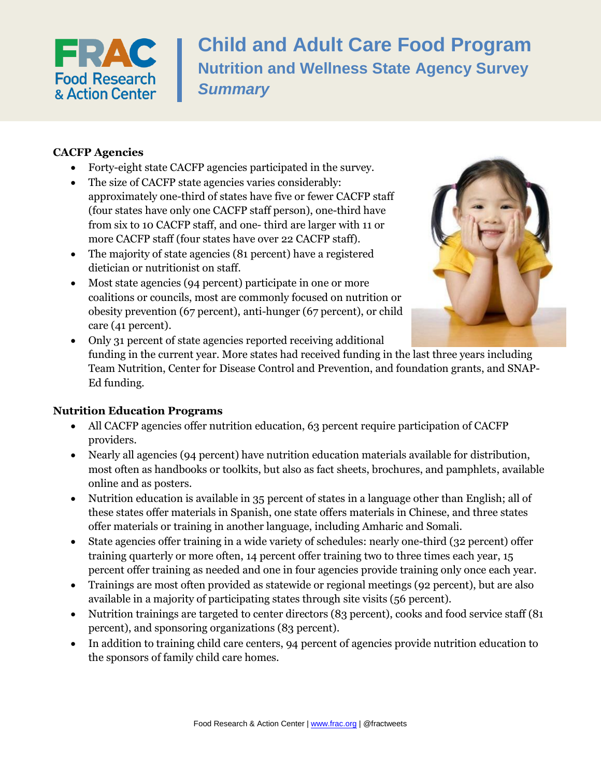

**Child and Adult Care Food Program Nutrition and Wellness State Agency Survey** *Summary*

### **CACFP Agencies**

- Forty-eight state CACFP agencies participated in the survey.
- The size of CACFP state agencies varies considerably: approximately one-third of states have five or fewer CACFP staff (four states have only one CACFP staff person), one-third have from six to 10 CACFP staff, and one- third are larger with 11 or more CACFP staff (four states have over 22 CACFP staff).
- The majority of state agencies (81 percent) have a registered dietician or nutritionist on staff.
- Most state agencies (94 percent) participate in one or more coalitions or councils, most are commonly focused on nutrition or obesity prevention (67 percent), anti-hunger (67 percent), or child care (41 percent).



 Only 31 percent of state agencies reported receiving additional funding in the current year. More states had received funding in the last three years including Team Nutrition, Center for Disease Control and Prevention, and foundation grants, and SNAP-Ed funding.

#### **Nutrition Education Programs**

- All CACFP agencies offer nutrition education, 63 percent require participation of CACFP providers.
- Nearly all agencies (94 percent) have nutrition education materials available for distribution, most often as handbooks or toolkits, but also as fact sheets, brochures, and pamphlets, available online and as posters.
- Nutrition education is available in 35 percent of states in a language other than English; all of these states offer materials in Spanish, one state offers materials in Chinese, and three states offer materials or training in another language, including Amharic and Somali.
- State agencies offer training in a wide variety of schedules: nearly one-third (32 percent) offer training quarterly or more often, 14 percent offer training two to three times each year, 15 percent offer training as needed and one in four agencies provide training only once each year.
- Trainings are most often provided as statewide or regional meetings (92 percent), but are also available in a majority of participating states through site visits (56 percent).
- Nutrition trainings are targeted to center directors (83 percent), cooks and food service staff (81 percent), and sponsoring organizations (83 percent).
- In addition to training child care centers, 94 percent of agencies provide nutrition education to the sponsors of family child care homes.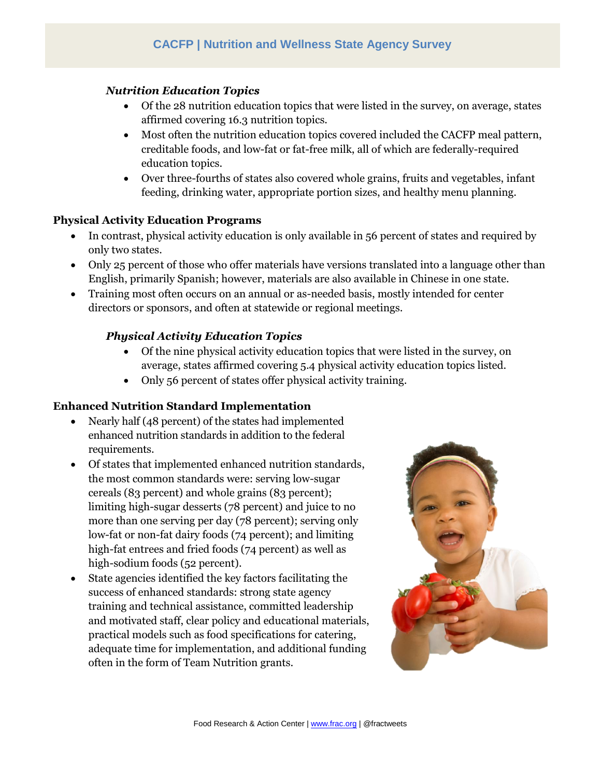### *Nutrition Education Topics*

- Of the 28 nutrition education topics that were listed in the survey, on average, states affirmed covering 16.3 nutrition topics.
- Most often the nutrition education topics covered included the CACFP meal pattern, creditable foods, and low-fat or fat-free milk, all of which are federally-required education topics.
- Over three-fourths of states also covered whole grains, fruits and vegetables, infant feeding, drinking water, appropriate portion sizes, and healthy menu planning.

### **Physical Activity Education Programs**

- In contrast, physical activity education is only available in 56 percent of states and required by only two states.
- Only 25 percent of those who offer materials have versions translated into a language other than English, primarily Spanish; however, materials are also available in Chinese in one state.
- Training most often occurs on an annual or as-needed basis, mostly intended for center directors or sponsors, and often at statewide or regional meetings.

## *Physical Activity Education Topics*

- Of the nine physical activity education topics that were listed in the survey, on average, states affirmed covering 5.4 physical activity education topics listed.
- Only 56 percent of states offer physical activity training.

## **Enhanced Nutrition Standard Implementation**

- Nearly half (48 percent) of the states had implemented enhanced nutrition standards in addition to the federal requirements.
- Of states that implemented enhanced nutrition standards, the most common standards were: serving low-sugar cereals (83 percent) and whole grains (83 percent); limiting high-sugar desserts (78 percent) and juice to no more than one serving per day (78 percent); serving only low-fat or non-fat dairy foods (74 percent); and limiting high-fat entrees and fried foods (74 percent) as well as high-sodium foods (52 percent).
- State agencies identified the key factors facilitating the success of enhanced standards: strong state agency training and technical assistance, committed leadership and motivated staff, clear policy and educational materials, practical models such as food specifications for catering, adequate time for implementation, and additional funding often in the form of Team Nutrition grants.